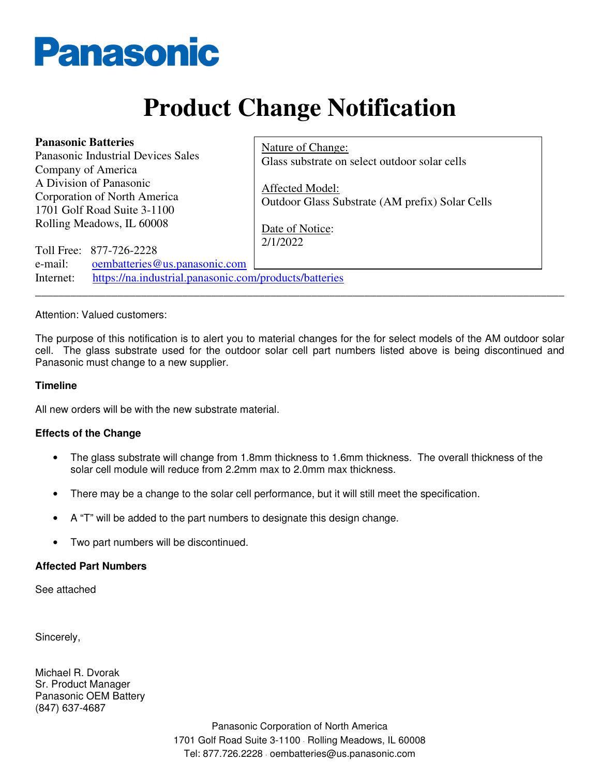

# **Product Change Notification**

| <b>Panasonic Batteries</b><br>Panasonic Industrial Devices Sales<br>Company of America                                                     | Nature of Change:<br>Glass substrate on select outdoor solar cells |
|--------------------------------------------------------------------------------------------------------------------------------------------|--------------------------------------------------------------------|
| A Division of Panasonic<br>Corporation of North America<br>1701 Golf Road Suite 3-1100<br>Rolling Meadows, IL 60008                        | Affected Model:<br>Outdoor Glass Substrate (AM prefix) Solar Cells |
| Toll Free: 877-726-2228<br>oembatteries@us.panasonic.com<br>e-mail:<br>https://na.industrial.panasonic.com/products/batteries<br>Internet: | Date of Notice:<br>2/1/2022                                        |
|                                                                                                                                            |                                                                    |

### Attention: Valued customers:

The purpose of this notification is to alert you to material changes for the for select models of the AM outdoor solar cell. The glass substrate used for the outdoor solar cell part numbers listed above is being discontinued and Panasonic must change to a new supplier.

#### **Timeline**

All new orders will be with the new substrate material.

## **Effects of the Change**

- The glass substrate will change from 1.8mm thickness to 1.6mm thickness. The overall thickness of the solar cell module will reduce from 2.2mm max to 2.0mm max thickness.
- There may be a change to the solar cell performance, but it will still meet the specification.
- A "T" will be added to the part numbers to designate this design change.
- Two part numbers will be discontinued.

#### **Affected Part Numbers**

See attached

Sincerely,

Michael R. Dvorak Sr. Product Manager Panasonic OEM Battery (847) 637-4687

> Panasonic Corporation of North America 1701 Golf Road Suite 3-1100 · Rolling Meadows, IL 60008 Tel: 877.726.2228 · oembatteries@us.panasonic.com